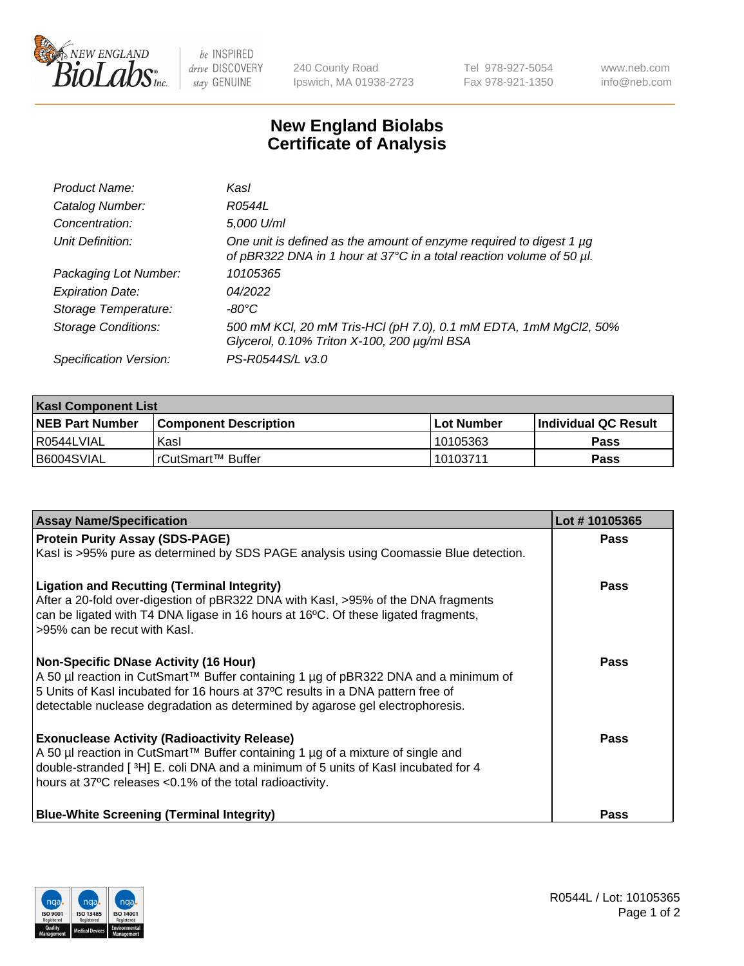

 $be$  INSPIRED drive DISCOVERY stay GENUINE

240 County Road Ipswich, MA 01938-2723 Tel 978-927-5054 Fax 978-921-1350 www.neb.com info@neb.com

## **New England Biolabs Certificate of Analysis**

| Product Name:              | Kasl                                                                                                                                             |
|----------------------------|--------------------------------------------------------------------------------------------------------------------------------------------------|
| Catalog Number:            | R0544L                                                                                                                                           |
| Concentration:             | 5,000 U/ml                                                                                                                                       |
| Unit Definition:           | One unit is defined as the amount of enzyme required to digest $1 \mu g$<br>of pBR322 DNA in 1 hour at 37°C in a total reaction volume of 50 µl. |
| Packaging Lot Number:      | 10105365                                                                                                                                         |
| <b>Expiration Date:</b>    | 04/2022                                                                                                                                          |
| Storage Temperature:       | -80°C                                                                                                                                            |
| <b>Storage Conditions:</b> | 500 mM KCl, 20 mM Tris-HCl (pH 7.0), 0.1 mM EDTA, 1mM MgCl2, 50%<br>Glycerol, 0.10% Triton X-100, 200 µg/ml BSA                                  |
| Specification Version:     | PS-R0544S/L v3.0                                                                                                                                 |

| <b>Kasl Component List</b> |                         |              |                             |  |  |
|----------------------------|-------------------------|--------------|-----------------------------|--|--|
| <b>NEB Part Number</b>     | l Component Description | l Lot Number | <b>Individual QC Result</b> |  |  |
| l R0544LVIAL               | Kasl                    | 10105363     | Pass                        |  |  |
| B6004SVIAL                 | l rCutSmart™ Buffer_    | 10103711     | Pass                        |  |  |

| <b>Assay Name/Specification</b>                                                                                                                                                                                                                                                                         | Lot #10105365 |
|---------------------------------------------------------------------------------------------------------------------------------------------------------------------------------------------------------------------------------------------------------------------------------------------------------|---------------|
| <b>Protein Purity Assay (SDS-PAGE)</b>                                                                                                                                                                                                                                                                  | <b>Pass</b>   |
| Kasl is >95% pure as determined by SDS PAGE analysis using Coomassie Blue detection.                                                                                                                                                                                                                    |               |
| <b>Ligation and Recutting (Terminal Integrity)</b><br>After a 20-fold over-digestion of pBR322 DNA with Kasl, >95% of the DNA fragments<br>can be ligated with T4 DNA ligase in 16 hours at 16°C. Of these ligated fragments,<br>>95% can be recut with Kasl.                                           | Pass          |
| <b>Non-Specific DNase Activity (16 Hour)</b><br>A 50 µl reaction in CutSmart™ Buffer containing 1 µg of pBR322 DNA and a minimum of<br>5 Units of Kasl incubated for 16 hours at 37°C results in a DNA pattern free of<br>detectable nuclease degradation as determined by agarose gel electrophoresis. | Pass          |
| <b>Exonuclease Activity (Radioactivity Release)</b><br>A 50 µl reaction in CutSmart™ Buffer containing 1 µg of a mixture of single and<br>double-stranded [3H] E. coli DNA and a minimum of 5 units of Kasl incubated for 4<br>hours at 37°C releases <0.1% of the total radioactivity.                 | Pass          |
| <b>Blue-White Screening (Terminal Integrity)</b>                                                                                                                                                                                                                                                        | Pass          |